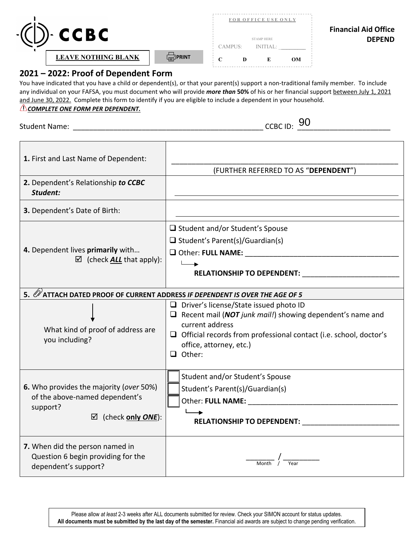

## **2021 – 2022: Proof of Dependent Form**

 any individual on your FAFSA, you must document who will provide *more than* **50%** of his or her financial support between July 1, 2021 and June 30, 2022. Complete this form to identify if you are eligible to include a dependent in your household. **LEAVE NOTHING BLANK**<br> **2021 – 2022: Proof of Depende**<br>
You have indicated that you have a child or c<br>
any individual on your FAFSA, you must docuted<br>
and June 30, 2022. Complete this form to id<br>
<u>A COMPLETE ONE FORM PER D</u> You have indicated that you have a child or dependent(s), or that your parent(s) support a non-traditional family member. To include *COMPLETE ONE FORM PER DEPENDENT.* 

Student Name: \_\_\_\_\_\_\_\_\_\_\_\_\_\_\_\_\_\_\_\_\_\_\_\_\_\_\_\_\_\_\_\_\_\_\_\_\_\_\_\_\_\_\_\_\_\_\_ CCBC ID: \_\_\_\_\_\_\_\_\_\_\_\_\_\_\_\_\_\_\_\_\_\_\_

 $_{\sim}$  CCBC ID:  $90$ 

| 1. First and Last Name of Dependent:                                                                                           | (FURTHER REFERRED TO AS "DEPENDENT")                                                                                                                                                                                                                                                                                               |  |  |  |  |  |
|--------------------------------------------------------------------------------------------------------------------------------|------------------------------------------------------------------------------------------------------------------------------------------------------------------------------------------------------------------------------------------------------------------------------------------------------------------------------------|--|--|--|--|--|
| 2. Dependent's Relationship to CCBC<br>Student:                                                                                |                                                                                                                                                                                                                                                                                                                                    |  |  |  |  |  |
| 3. Dependent's Date of Birth:                                                                                                  |                                                                                                                                                                                                                                                                                                                                    |  |  |  |  |  |
| 4. Dependent lives primarily with<br>$\boxtimes$ (check <b>ALL</b> that apply):                                                | □ Student and/or Student's Spouse<br>$\Box$ Student's Parent(s)/Guardian(s)<br>RELATIONSHIP TO DEPENDENT:                                                                                                                                                                                                                          |  |  |  |  |  |
| 5. Ø ATTACH DATED PROOF OF CURRENT ADDRESS IF DEPENDENT IS OVER THE AGE OF 5                                                   |                                                                                                                                                                                                                                                                                                                                    |  |  |  |  |  |
| What kind of proof of address are<br>you including?                                                                            | $\Box$ Driver's license/State issued photo ID<br>$\Box$ Recent mail (NOT junk mail!) showing dependent's name and<br>current address<br>$\Box$ Official records from professional contact (i.e. school, doctor's<br>office, attorney, etc.)<br>$\Box$ Other:                                                                       |  |  |  |  |  |
| 6. Who provides the majority (over 50%)<br>of the above-named dependent's<br>support?<br>$\boxtimes$ (check only <i>ONE</i> ): | Student and/or Student's Spouse<br>Student's Parent(s)/Guardian(s)<br>Other: FULL NAME: The contract of the contract of the contract of the contract of the contract of the contract of the contract of the contract of the contract of the contract of the contract of the contract of the contract<br>RELATIONSHIP TO DEPENDENT: |  |  |  |  |  |
| 7. When did the person named in<br>Question 6 begin providing for the<br>dependent's support?                                  |                                                                                                                                                                                                                                                                                                                                    |  |  |  |  |  |